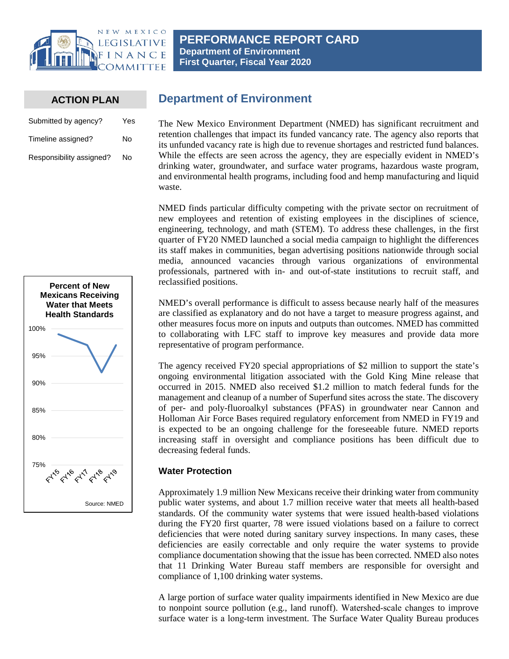

### **ACTION PLAN**

| Submitted by agency?     | Yes |
|--------------------------|-----|
| Timeline assigned?       | N٥  |
| Responsibility assigned? | No  |



# **Department of Environment**

The New Mexico Environment Department (NMED) has significant recruitment and retention challenges that impact its funded vancancy rate. The agency also reports that its unfunded vacancy rate is high due to revenue shortages and restricted fund balances. While the effects are seen across the agency, they are especially evident in NMED's drinking water, groundwater, and surface water programs, hazardous waste program, and environmental health programs, including food and hemp manufacturing and liquid waste.

NMED finds particular difficulty competing with the private sector on recruitment of new employees and retention of existing employees in the disciplines of science, engineering, technology, and math (STEM). To address these challenges, in the first quarter of FY20 NMED launched a social media campaign to highlight the differences its staff makes in communities, began advertising positions nationwide through social media, announced vacancies through various organizations of environmental professionals, partnered with in- and out-of-state institutions to recruit staff, and reclassified positions.

NMED's overall performance is difficult to assess because nearly half of the measures are classified as explanatory and do not have a target to measure progress against, and other measures focus more on inputs and outputs than outcomes. NMED has committed to collaborating with LFC staff to improve key measures and provide data more representative of program performance.

The agency received FY20 special appropriations of \$2 million to support the state's ongoing environmental litigation associated with the Gold King Mine release that occurred in 2015. NMED also received \$1.2 million to match federal funds for the management and cleanup of a number of Superfund sites across the state. The discovery of per- and poly-fluoroalkyl substances (PFAS) in groundwater near Cannon and Holloman Air Force Bases required regulatory enforcement from NMED in FY19 and is expected to be an ongoing challenge for the foreseeable future. NMED reports increasing staff in oversight and compliance positions has been difficult due to decreasing federal funds.

### **Water Protection**

Approximately 1.9 million New Mexicans receive their drinking water from community public water systems, and about 1.7 million receive water that meets all health-based standards. Of the community water systems that were issued health-based violations during the FY20 first quarter, 78 were issued violations based on a failure to correct deficiencies that were noted during sanitary survey inspections. In many cases, these deficiencies are easily correctable and only require the water systems to provide compliance documentation showing that the issue has been corrected. NMED also notes that 11 Drinking Water Bureau staff members are responsible for oversight and compliance of 1,100 drinking water systems.

A large portion of surface water quality impairments identified in New Mexico are due to nonpoint source pollution (e.g., land runoff). Watershed‐scale changes to improve surface water is a long‐term investment. The Surface Water Quality Bureau produces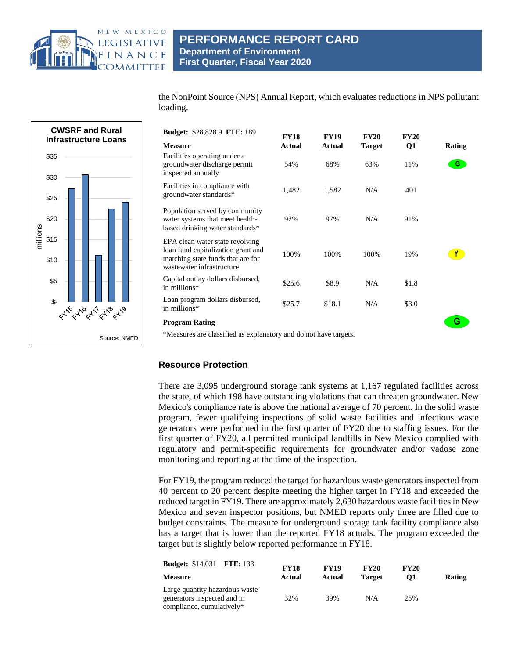

### **PERFORMANCE REPORT CARD Department of Environment First Quarter, Fiscal Year 2020**

the NonPoint Source (NPS) Annual Report, which evaluates reductions in NPS pollutant loading.



| <b>Budget: \$28,828.9 FTE: 189</b>                                                                                                      | <b>FY18</b>   | <b>FY19</b>   | <b>FY20</b>   | <b>FY20</b> |               |
|-----------------------------------------------------------------------------------------------------------------------------------------|---------------|---------------|---------------|-------------|---------------|
| <b>Measure</b>                                                                                                                          | <b>Actual</b> | <b>Actual</b> | <b>Target</b> | Q1          | <b>Rating</b> |
| Facilities operating under a<br>groundwater discharge permit<br>inspected annually                                                      | 54%           | 68%           | 63%           | 11%         | G.            |
| Facilities in compliance with<br>groundwater standards*                                                                                 | 1,482         | 1,582         | N/A           | 401         |               |
| Population served by community<br>water systems that meet health-<br>based drinking water standards*                                    | 92%           | 97%           | N/A           | 91%         |               |
| EPA clean water state revolving<br>loan fund capitalization grant and<br>matching state funds that are for<br>wastewater infrastructure | 100%          | 100%          | 100%          | 19%         |               |
| Capital outlay dollars disbursed,<br>in millions*                                                                                       | \$25.6        | \$8.9         | N/A           | \$1.8       |               |
| Loan program dollars disbursed,<br>in millions*                                                                                         | \$25.7        | \$18.1        | N/A           | \$3.0       |               |
| Program Rating                                                                                                                          |               |               |               |             | G             |

\*Measures are classified as explanatory and do not have targets.

### **Resource Protection**

There are 3,095 underground storage tank systems at 1,167 regulated facilities across the state, of which 198 have outstanding violations that can threaten groundwater. New Mexico's compliance rate is above the national average of 70 percent. In the solid waste program, fewer qualifying inspections of solid waste facilities and infectious waste generators were performed in the first quarter of FY20 due to staffing issues. For the first quarter of FY20, all permitted municipal landfills in New Mexico complied with regulatory and permit-specific requirements for groundwater and/or vadose zone monitoring and reporting at the time of the inspection.

For FY19, the program reduced the target for hazardous waste generators inspected from 40 percent to 20 percent despite meeting the higher target in FY18 and exceeded the reduced target in FY19. There are approximately 2,630 hazardous waste facilities in New Mexico and seven inspector positions, but NMED reports only three are filled due to budget constraints. The measure for underground storage tank facility compliance also has a target that is lower than the reported FY18 actuals. The program exceeded the target but is slightly below reported performance in FY18.

| <b>Budget: \$14,031 FTE: 133</b>                                                           | <b>FY18</b> | <b>FY19</b> | <b>FY20</b>   | <b>FY20</b> |        |
|--------------------------------------------------------------------------------------------|-------------|-------------|---------------|-------------|--------|
| <b>Measure</b>                                                                             | Actual      | Actual      | <b>Target</b> | 01          | Rating |
| Large quantity hazardous waste<br>generators inspected and in<br>compliance, cumulatively* | 32%         | 39%         | N/A           | 25%         |        |